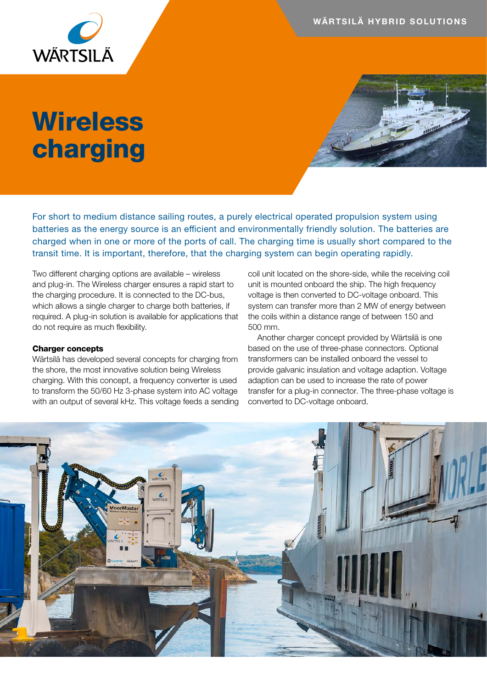WÄRTSILÄ HYBRID SOLUTIONS

## **Wireless** charging

For short to medium distance sailing routes, a purely electrical operated propulsion system using batteries as the energy source is an efficient and environmentally friendly solution. The batteries are charged when in one or more of the ports of call. The charging time is usually short compared to the transit time. It is important, therefore, that the charging system can begin operating rapidly.

Two different charging options are available – wireless and plug-in. The Wireless charger ensures a rapid start to the charging procedure. It is connected to the DC-bus, which allows a single charger to charge both batteries, if required. A plug-in solution is available for applications that do not require as much flexibility.

## Charger concepts

Wärtsilä has developed several concepts for charging from the shore, the most innovative solution being Wireless charging. With this concept, a frequency converter is used to transform the 50/60 Hz 3-phase system into AC voltage with an output of several kHz. This voltage feeds a sending coil unit located on the shore-side, while the receiving coil unit is mounted onboard the ship. The high frequency voltage is then converted to DC-voltage onboard. This system can transfer more than 2 MW of energy between the coils within a distance range of between 150 and 500 mm.

Another charger concept provided by Wärtsilä is one based on the use of three-phase connectors. Optional transformers can be installed onboard the vessel to provide galvanic insulation and voltage adaption. Voltage adaption can be used to increase the rate of power transfer for a plug-in connector. The three-phase voltage is converted to DC-voltage onboard.